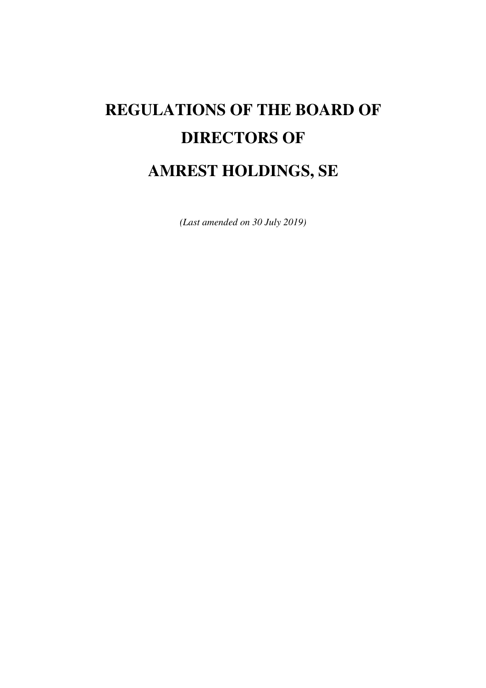# **REGULATIONS OF THE BOARD OF DIRECTORS OF**

# **AMREST HOLDINGS, SE**

*(Last amended on 30 July 2019)*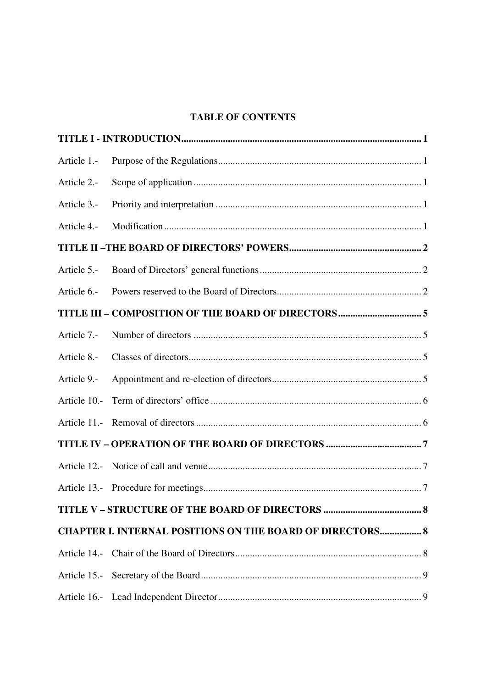# **TABLE OF CONTENTS**

| Article 1.-                                               |  |  |  |
|-----------------------------------------------------------|--|--|--|
| Article 2.-                                               |  |  |  |
| Article 3.-                                               |  |  |  |
| Article 4.-                                               |  |  |  |
|                                                           |  |  |  |
| Article 5.-                                               |  |  |  |
| Article 6.-                                               |  |  |  |
|                                                           |  |  |  |
| Article 7.-                                               |  |  |  |
| Article 8.-                                               |  |  |  |
| Article 9.-                                               |  |  |  |
| Article 10.-                                              |  |  |  |
|                                                           |  |  |  |
|                                                           |  |  |  |
|                                                           |  |  |  |
|                                                           |  |  |  |
|                                                           |  |  |  |
| CHAPTER I. INTERNAL POSITIONS ON THE BOARD OF DIRECTORS 8 |  |  |  |
| Article 14.-                                              |  |  |  |
|                                                           |  |  |  |
|                                                           |  |  |  |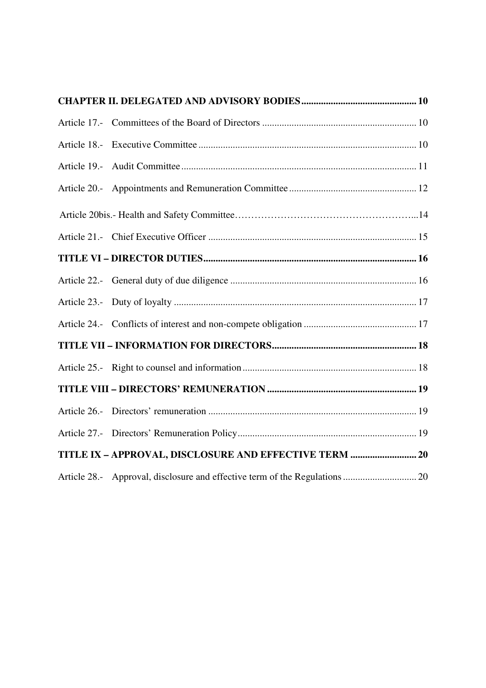| TITLE IX - APPROVAL, DISCLOSURE AND EFFECTIVE TERM  20 |  |
|--------------------------------------------------------|--|
|                                                        |  |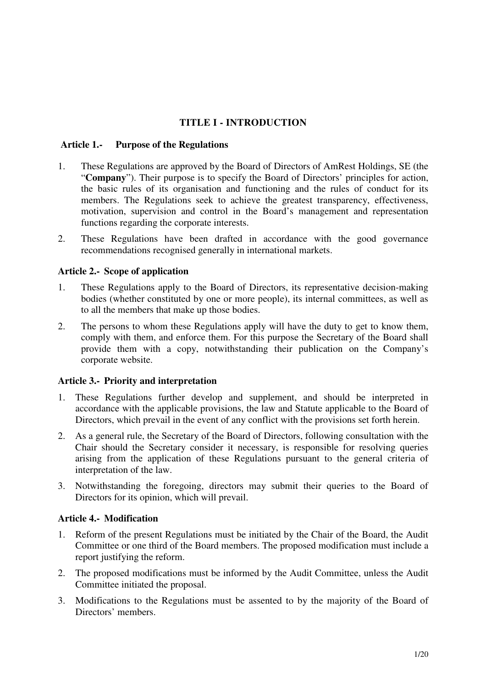# **TITLE I - INTRODUCTION**

#### **Article 1.- Purpose of the Regulations**

- 1. These Regulations are approved by the Board of Directors of AmRest Holdings, SE (the "**Company**"). Their purpose is to specify the Board of Directors' principles for action, the basic rules of its organisation and functioning and the rules of conduct for its members. The Regulations seek to achieve the greatest transparency, effectiveness, motivation, supervision and control in the Board's management and representation functions regarding the corporate interests.
- 2. These Regulations have been drafted in accordance with the good governance recommendations recognised generally in international markets.

#### **Article 2.- Scope of application**

- 1. These Regulations apply to the Board of Directors, its representative decision-making bodies (whether constituted by one or more people), its internal committees, as well as to all the members that make up those bodies.
- 2. The persons to whom these Regulations apply will have the duty to get to know them, comply with them, and enforce them. For this purpose the Secretary of the Board shall provide them with a copy, notwithstanding their publication on the Company's corporate website.

# **Article 3.- Priority and interpretation**

- 1. These Regulations further develop and supplement, and should be interpreted in accordance with the applicable provisions, the law and Statute applicable to the Board of Directors, which prevail in the event of any conflict with the provisions set forth herein.
- 2. As a general rule, the Secretary of the Board of Directors, following consultation with the Chair should the Secretary consider it necessary, is responsible for resolving queries arising from the application of these Regulations pursuant to the general criteria of interpretation of the law.
- 3. Notwithstanding the foregoing, directors may submit their queries to the Board of Directors for its opinion, which will prevail.

#### **Article 4.- Modification**

- 1. Reform of the present Regulations must be initiated by the Chair of the Board, the Audit Committee or one third of the Board members. The proposed modification must include a report justifying the reform.
- 2. The proposed modifications must be informed by the Audit Committee, unless the Audit Committee initiated the proposal.
- 3. Modifications to the Regulations must be assented to by the majority of the Board of Directors' members.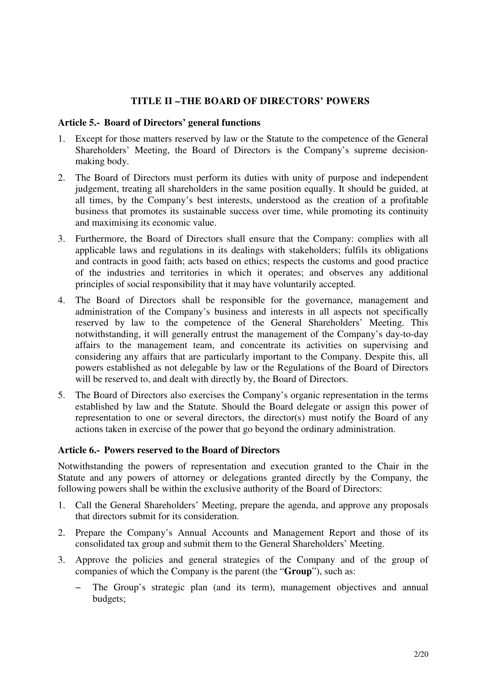#### **TITLE II –THE BOARD OF DIRECTORS' POWERS**

#### **Article 5.- Board of Directors' general functions**

- 1. Except for those matters reserved by law or the Statute to the competence of the General Shareholders' Meeting, the Board of Directors is the Company's supreme decisionmaking body.
- 2. The Board of Directors must perform its duties with unity of purpose and independent judgement, treating all shareholders in the same position equally. It should be guided, at all times, by the Company's best interests, understood as the creation of a profitable business that promotes its sustainable success over time, while promoting its continuity and maximising its economic value.
- 3. Furthermore, the Board of Directors shall ensure that the Company: complies with all applicable laws and regulations in its dealings with stakeholders; fulfils its obligations and contracts in good faith; acts based on ethics; respects the customs and good practice of the industries and territories in which it operates; and observes any additional principles of social responsibility that it may have voluntarily accepted.
- 4. The Board of Directors shall be responsible for the governance, management and administration of the Company's business and interests in all aspects not specifically reserved by law to the competence of the General Shareholders' Meeting. This notwithstanding, it will generally entrust the management of the Company's day-to-day affairs to the management team, and concentrate its activities on supervising and considering any affairs that are particularly important to the Company. Despite this, all powers established as not delegable by law or the Regulations of the Board of Directors will be reserved to, and dealt with directly by, the Board of Directors.
- 5. The Board of Directors also exercises the Company's organic representation in the terms established by law and the Statute. Should the Board delegate or assign this power of representation to one or several directors, the director(s) must notify the Board of any actions taken in exercise of the power that go beyond the ordinary administration.

#### **Article 6.- Powers reserved to the Board of Directors**

Notwithstanding the powers of representation and execution granted to the Chair in the Statute and any powers of attorney or delegations granted directly by the Company, the following powers shall be within the exclusive authority of the Board of Directors:

- 1. Call the General Shareholders' Meeting, prepare the agenda, and approve any proposals that directors submit for its consideration.
- 2. Prepare the Company's Annual Accounts and Management Report and those of its consolidated tax group and submit them to the General Shareholders' Meeting.
- 3. Approve the policies and general strategies of the Company and of the group of companies of which the Company is the parent (the "**Group**"), such as:
	- The Group's strategic plan (and its term), management objectives and annual budgets;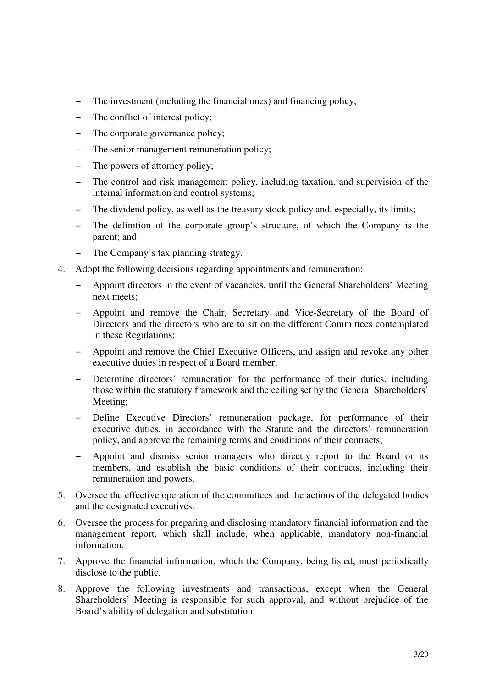- − The investment (including the financial ones) and financing policy;
- − The conflict of interest policy;
- − The corporate governance policy;
- The senior management remuneration policy;
- The powers of attorney policy;
- − The control and risk management policy, including taxation, and supervision of the internal information and control systems;
- The dividend policy, as well as the treasury stock policy and, especially, its limits;
- The definition of the corporate group's structure, of which the Company is the parent; and
- − The Company's tax planning strategy.
- 4. Adopt the following decisions regarding appointments and remuneration:
	- − Appoint directors in the event of vacancies, until the General Shareholders' Meeting next meets;
	- − Appoint and remove the Chair, Secretary and Vice-Secretary of the Board of Directors and the directors who are to sit on the different Committees contemplated in these Regulations;
	- − Appoint and remove the Chief Executive Officers, and assign and revoke any other executive duties in respect of a Board member;
	- − Determine directors' remuneration for the performance of their duties, including those within the statutory framework and the ceiling set by the General Shareholders' Meeting;
	- − Define Executive Directors' remuneration package, for performance of their executive duties, in accordance with the Statute and the directors' remuneration policy, and approve the remaining terms and conditions of their contracts;
	- Appoint and dismiss senior managers who directly report to the Board or its members, and establish the basic conditions of their contracts, including their remuneration and powers.
- 5. Oversee the effective operation of the committees and the actions of the delegated bodies and the designated executives.
- 6. Oversee the process for preparing and disclosing mandatory financial information and the management report, which shall include, when applicable, mandatory non-financial information.
- 7. Approve the financial information, which the Company, being listed, must periodically disclose to the public.
- 8. Approve the following investments and transactions, except when the General Shareholders' Meeting is responsible for such approval, and without prejudice of the Board's ability of delegation and substitution: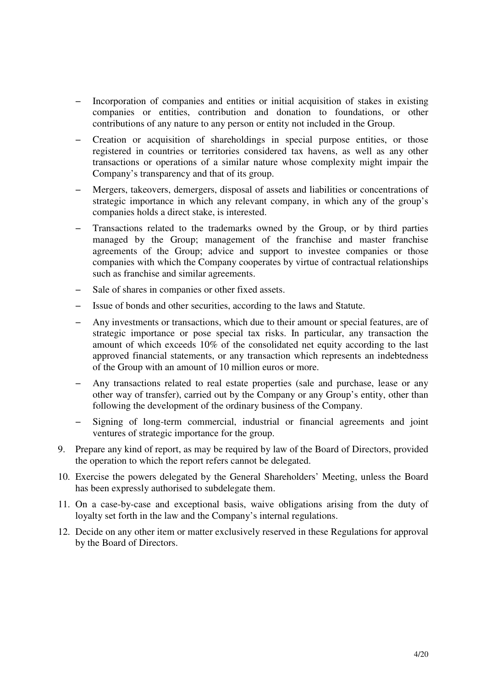- Incorporation of companies and entities or initial acquisition of stakes in existing companies or entities, contribution and donation to foundations, or other contributions of any nature to any person or entity not included in the Group.
- − Creation or acquisition of shareholdings in special purpose entities, or those registered in countries or territories considered tax havens, as well as any other transactions or operations of a similar nature whose complexity might impair the Company's transparency and that of its group.
- − Mergers, takeovers, demergers, disposal of assets and liabilities or concentrations of strategic importance in which any relevant company, in which any of the group's companies holds a direct stake, is interested.
- Transactions related to the trademarks owned by the Group, or by third parties managed by the Group; management of the franchise and master franchise agreements of the Group; advice and support to investee companies or those companies with which the Company cooperates by virtue of contractual relationships such as franchise and similar agreements.
- Sale of shares in companies or other fixed assets.
- − Issue of bonds and other securities, according to the laws and Statute.
- Any investments or transactions, which due to their amount or special features, are of strategic importance or pose special tax risks. In particular, any transaction the amount of which exceeds 10% of the consolidated net equity according to the last approved financial statements, or any transaction which represents an indebtedness of the Group with an amount of 10 million euros or more.
- Any transactions related to real estate properties (sale and purchase, lease or any other way of transfer), carried out by the Company or any Group's entity, other than following the development of the ordinary business of the Company.
- Signing of long-term commercial, industrial or financial agreements and joint ventures of strategic importance for the group.
- 9. Prepare any kind of report, as may be required by law of the Board of Directors, provided the operation to which the report refers cannot be delegated.
- 10. Exercise the powers delegated by the General Shareholders' Meeting, unless the Board has been expressly authorised to subdelegate them.
- 11. On a case-by-case and exceptional basis, waive obligations arising from the duty of loyalty set forth in the law and the Company's internal regulations.
- 12. Decide on any other item or matter exclusively reserved in these Regulations for approval by the Board of Directors.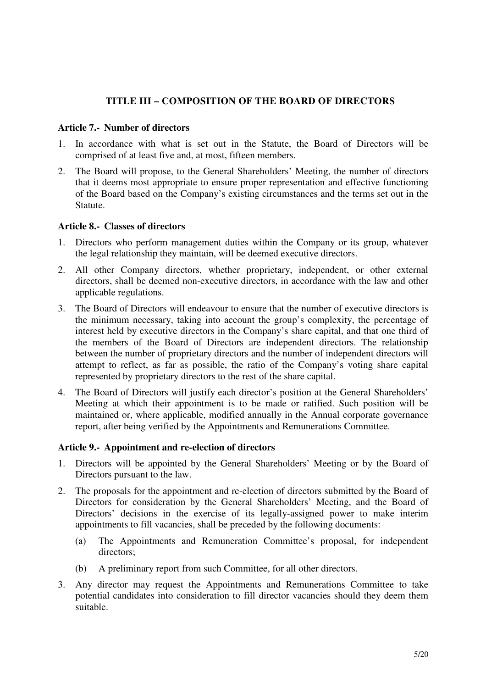### **TITLE III – COMPOSITION OF THE BOARD OF DIRECTORS**

#### **Article 7.- Number of directors**

- 1. In accordance with what is set out in the Statute, the Board of Directors will be comprised of at least five and, at most, fifteen members.
- 2. The Board will propose, to the General Shareholders' Meeting, the number of directors that it deems most appropriate to ensure proper representation and effective functioning of the Board based on the Company's existing circumstances and the terms set out in the Statute.

#### **Article 8.- Classes of directors**

- 1. Directors who perform management duties within the Company or its group, whatever the legal relationship they maintain, will be deemed executive directors.
- 2. All other Company directors, whether proprietary, independent, or other external directors, shall be deemed non-executive directors, in accordance with the law and other applicable regulations.
- 3. The Board of Directors will endeavour to ensure that the number of executive directors is the minimum necessary, taking into account the group's complexity, the percentage of interest held by executive directors in the Company's share capital, and that one third of the members of the Board of Directors are independent directors. The relationship between the number of proprietary directors and the number of independent directors will attempt to reflect, as far as possible, the ratio of the Company's voting share capital represented by proprietary directors to the rest of the share capital.
- 4. The Board of Directors will justify each director's position at the General Shareholders' Meeting at which their appointment is to be made or ratified. Such position will be maintained or, where applicable, modified annually in the Annual corporate governance report, after being verified by the Appointments and Remunerations Committee.

#### **Article 9.- Appointment and re-election of directors**

- 1. Directors will be appointed by the General Shareholders' Meeting or by the Board of Directors pursuant to the law.
- 2. The proposals for the appointment and re-election of directors submitted by the Board of Directors for consideration by the General Shareholders' Meeting, and the Board of Directors' decisions in the exercise of its legally-assigned power to make interim appointments to fill vacancies, shall be preceded by the following documents:
	- (a) The Appointments and Remuneration Committee's proposal, for independent directors;
	- (b) A preliminary report from such Committee, for all other directors.
- 3. Any director may request the Appointments and Remunerations Committee to take potential candidates into consideration to fill director vacancies should they deem them suitable.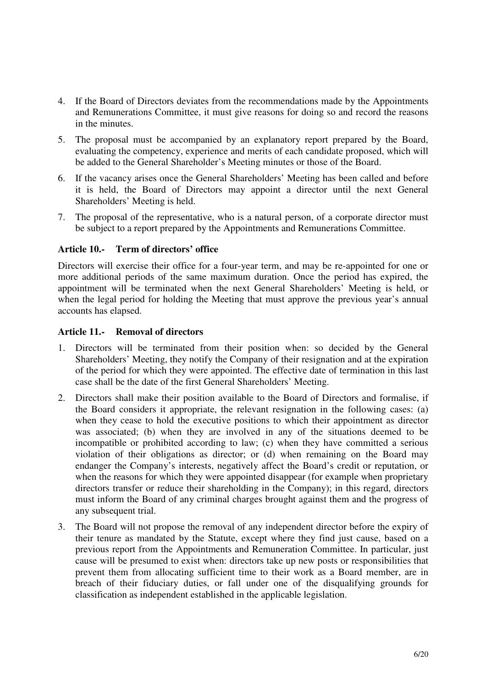- 4. If the Board of Directors deviates from the recommendations made by the Appointments and Remunerations Committee, it must give reasons for doing so and record the reasons in the minutes.
- 5. The proposal must be accompanied by an explanatory report prepared by the Board, evaluating the competency, experience and merits of each candidate proposed, which will be added to the General Shareholder's Meeting minutes or those of the Board.
- 6. If the vacancy arises once the General Shareholders' Meeting has been called and before it is held, the Board of Directors may appoint a director until the next General Shareholders' Meeting is held.
- 7. The proposal of the representative, who is a natural person, of a corporate director must be subject to a report prepared by the Appointments and Remunerations Committee.

#### **Article 10.- Term of directors' office**

Directors will exercise their office for a four-year term, and may be re-appointed for one or more additional periods of the same maximum duration. Once the period has expired, the appointment will be terminated when the next General Shareholders' Meeting is held, or when the legal period for holding the Meeting that must approve the previous year's annual accounts has elapsed.

#### **Article 11.- Removal of directors**

- 1. Directors will be terminated from their position when: so decided by the General Shareholders' Meeting, they notify the Company of their resignation and at the expiration of the period for which they were appointed. The effective date of termination in this last case shall be the date of the first General Shareholders' Meeting.
- 2. Directors shall make their position available to the Board of Directors and formalise, if the Board considers it appropriate, the relevant resignation in the following cases: (a) when they cease to hold the executive positions to which their appointment as director was associated; (b) when they are involved in any of the situations deemed to be incompatible or prohibited according to law; (c) when they have committed a serious violation of their obligations as director; or (d) when remaining on the Board may endanger the Company's interests, negatively affect the Board's credit or reputation, or when the reasons for which they were appointed disappear (for example when proprietary directors transfer or reduce their shareholding in the Company); in this regard, directors must inform the Board of any criminal charges brought against them and the progress of any subsequent trial.
- 3. The Board will not propose the removal of any independent director before the expiry of their tenure as mandated by the Statute, except where they find just cause, based on a previous report from the Appointments and Remuneration Committee. In particular, just cause will be presumed to exist when: directors take up new posts or responsibilities that prevent them from allocating sufficient time to their work as a Board member, are in breach of their fiduciary duties, or fall under one of the disqualifying grounds for classification as independent established in the applicable legislation.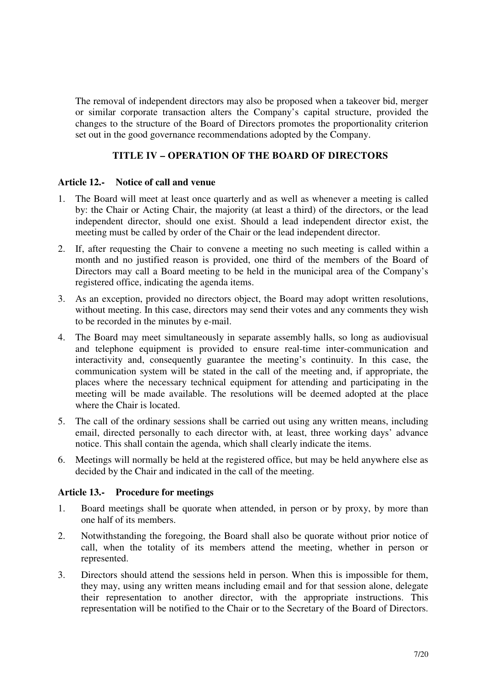The removal of independent directors may also be proposed when a takeover bid, merger or similar corporate transaction alters the Company's capital structure, provided the changes to the structure of the Board of Directors promotes the proportionality criterion set out in the good governance recommendations adopted by the Company.

# **TITLE IV – OPERATION OF THE BOARD OF DIRECTORS**

#### **Article 12.- Notice of call and venue**

- 1. The Board will meet at least once quarterly and as well as whenever a meeting is called by: the Chair or Acting Chair, the majority (at least a third) of the directors, or the lead independent director, should one exist. Should a lead independent director exist, the meeting must be called by order of the Chair or the lead independent director.
- 2. If, after requesting the Chair to convene a meeting no such meeting is called within a month and no justified reason is provided, one third of the members of the Board of Directors may call a Board meeting to be held in the municipal area of the Company's registered office, indicating the agenda items.
- 3. As an exception, provided no directors object, the Board may adopt written resolutions, without meeting. In this case, directors may send their votes and any comments they wish to be recorded in the minutes by e-mail.
- 4. The Board may meet simultaneously in separate assembly halls, so long as audiovisual and telephone equipment is provided to ensure real-time inter-communication and interactivity and, consequently guarantee the meeting's continuity. In this case, the communication system will be stated in the call of the meeting and, if appropriate, the places where the necessary technical equipment for attending and participating in the meeting will be made available. The resolutions will be deemed adopted at the place where the Chair is located.
- 5. The call of the ordinary sessions shall be carried out using any written means, including email, directed personally to each director with, at least, three working days' advance notice. This shall contain the agenda, which shall clearly indicate the items.
- 6. Meetings will normally be held at the registered office, but may be held anywhere else as decided by the Chair and indicated in the call of the meeting.

#### **Article 13.- Procedure for meetings**

- 1. Board meetings shall be quorate when attended, in person or by proxy, by more than one half of its members.
- 2. Notwithstanding the foregoing, the Board shall also be quorate without prior notice of call, when the totality of its members attend the meeting, whether in person or represented.
- 3. Directors should attend the sessions held in person. When this is impossible for them, they may, using any written means including email and for that session alone, delegate their representation to another director, with the appropriate instructions. This representation will be notified to the Chair or to the Secretary of the Board of Directors.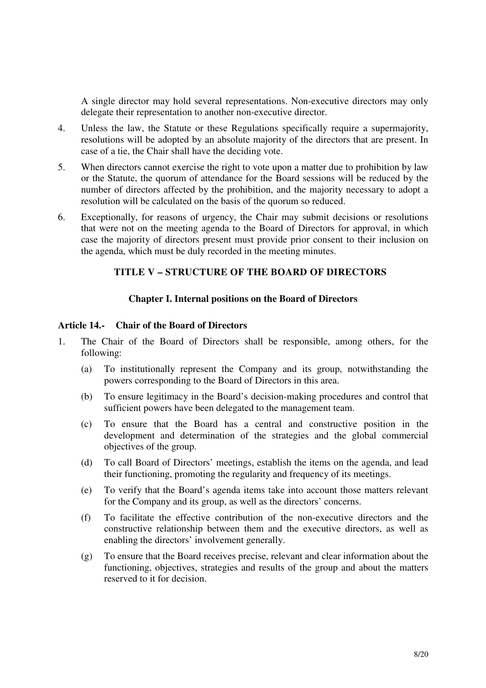A single director may hold several representations. Non-executive directors may only delegate their representation to another non-executive director.

- 4. Unless the law, the Statute or these Regulations specifically require a supermajority, resolutions will be adopted by an absolute majority of the directors that are present. In case of a tie, the Chair shall have the deciding vote.
- 5. When directors cannot exercise the right to vote upon a matter due to prohibition by law or the Statute, the quorum of attendance for the Board sessions will be reduced by the number of directors affected by the prohibition, and the majority necessary to adopt a resolution will be calculated on the basis of the quorum so reduced.
- 6. Exceptionally, for reasons of urgency, the Chair may submit decisions or resolutions that were not on the meeting agenda to the Board of Directors for approval, in which case the majority of directors present must provide prior consent to their inclusion on the agenda, which must be duly recorded in the meeting minutes.

# **TITLE V – STRUCTURE OF THE BOARD OF DIRECTORS**

#### **Chapter I. Internal positions on the Board of Directors**

#### **Article 14.- Chair of the Board of Directors**

- 1. The Chair of the Board of Directors shall be responsible, among others, for the following:
	- (a) To institutionally represent the Company and its group, notwithstanding the powers corresponding to the Board of Directors in this area.
	- (b) To ensure legitimacy in the Board's decision-making procedures and control that sufficient powers have been delegated to the management team.
	- (c) To ensure that the Board has a central and constructive position in the development and determination of the strategies and the global commercial objectives of the group.
	- (d) To call Board of Directors' meetings, establish the items on the agenda, and lead their functioning, promoting the regularity and frequency of its meetings.
	- (e) To verify that the Board's agenda items take into account those matters relevant for the Company and its group, as well as the directors' concerns.
	- (f) To facilitate the effective contribution of the non-executive directors and the constructive relationship between them and the executive directors, as well as enabling the directors' involvement generally.
	- (g) To ensure that the Board receives precise, relevant and clear information about the functioning, objectives, strategies and results of the group and about the matters reserved to it for decision.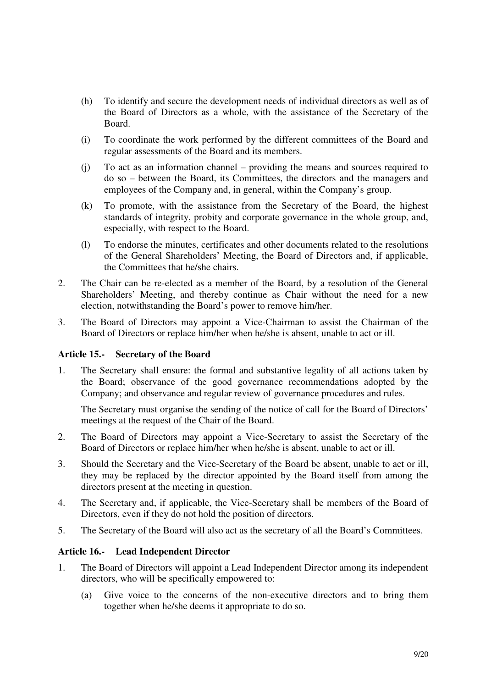- (h) To identify and secure the development needs of individual directors as well as of the Board of Directors as a whole, with the assistance of the Secretary of the Board.
- (i) To coordinate the work performed by the different committees of the Board and regular assessments of the Board and its members.
- (j) To act as an information channel providing the means and sources required to do so – between the Board, its Committees, the directors and the managers and employees of the Company and, in general, within the Company's group.
- (k) To promote, with the assistance from the Secretary of the Board, the highest standards of integrity, probity and corporate governance in the whole group, and, especially, with respect to the Board.
- (l) To endorse the minutes, certificates and other documents related to the resolutions of the General Shareholders' Meeting, the Board of Directors and, if applicable, the Committees that he/she chairs.
- 2. The Chair can be re-elected as a member of the Board, by a resolution of the General Shareholders' Meeting, and thereby continue as Chair without the need for a new election, notwithstanding the Board's power to remove him/her.
- 3. The Board of Directors may appoint a Vice-Chairman to assist the Chairman of the Board of Directors or replace him/her when he/she is absent, unable to act or ill.

#### **Article 15.- Secretary of the Board**

1. The Secretary shall ensure: the formal and substantive legality of all actions taken by the Board; observance of the good governance recommendations adopted by the Company; and observance and regular review of governance procedures and rules.

The Secretary must organise the sending of the notice of call for the Board of Directors' meetings at the request of the Chair of the Board.

- 2. The Board of Directors may appoint a Vice-Secretary to assist the Secretary of the Board of Directors or replace him/her when he/she is absent, unable to act or ill.
- 3. Should the Secretary and the Vice-Secretary of the Board be absent, unable to act or ill, they may be replaced by the director appointed by the Board itself from among the directors present at the meeting in question.
- 4. The Secretary and, if applicable, the Vice-Secretary shall be members of the Board of Directors, even if they do not hold the position of directors.
- 5. The Secretary of the Board will also act as the secretary of all the Board's Committees.

#### **Article 16.- Lead Independent Director**

- 1. The Board of Directors will appoint a Lead Independent Director among its independent directors, who will be specifically empowered to:
	- (a) Give voice to the concerns of the non-executive directors and to bring them together when he/she deems it appropriate to do so.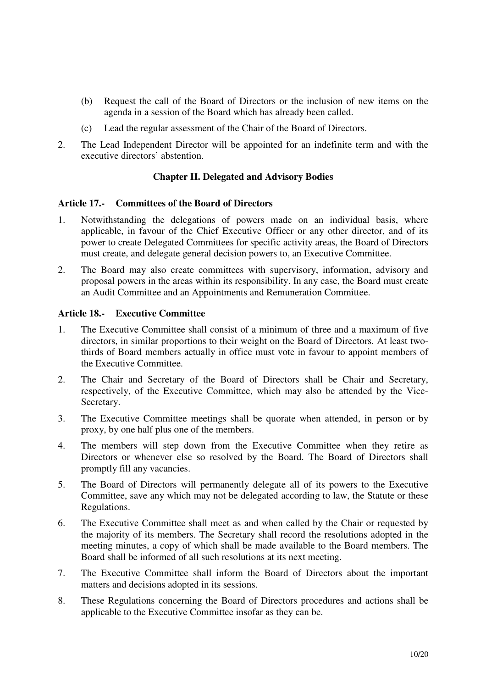- (b) Request the call of the Board of Directors or the inclusion of new items on the agenda in a session of the Board which has already been called.
- (c) Lead the regular assessment of the Chair of the Board of Directors.
- 2. The Lead Independent Director will be appointed for an indefinite term and with the executive directors' abstention.

#### **Chapter II. Delegated and Advisory Bodies**

#### **Article 17.- Committees of the Board of Directors**

- 1. Notwithstanding the delegations of powers made on an individual basis, where applicable, in favour of the Chief Executive Officer or any other director, and of its power to create Delegated Committees for specific activity areas, the Board of Directors must create, and delegate general decision powers to, an Executive Committee.
- 2. The Board may also create committees with supervisory, information, advisory and proposal powers in the areas within its responsibility. In any case, the Board must create an Audit Committee and an Appointments and Remuneration Committee.

#### **Article 18.- Executive Committee**

- 1. The Executive Committee shall consist of a minimum of three and a maximum of five directors, in similar proportions to their weight on the Board of Directors. At least twothirds of Board members actually in office must vote in favour to appoint members of the Executive Committee.
- 2. The Chair and Secretary of the Board of Directors shall be Chair and Secretary, respectively, of the Executive Committee, which may also be attended by the Vice-Secretary.
- 3. The Executive Committee meetings shall be quorate when attended, in person or by proxy, by one half plus one of the members.
- 4. The members will step down from the Executive Committee when they retire as Directors or whenever else so resolved by the Board. The Board of Directors shall promptly fill any vacancies.
- 5. The Board of Directors will permanently delegate all of its powers to the Executive Committee, save any which may not be delegated according to law, the Statute or these Regulations.
- 6. The Executive Committee shall meet as and when called by the Chair or requested by the majority of its members. The Secretary shall record the resolutions adopted in the meeting minutes, a copy of which shall be made available to the Board members. The Board shall be informed of all such resolutions at its next meeting.
- 7. The Executive Committee shall inform the Board of Directors about the important matters and decisions adopted in its sessions.
- 8. These Regulations concerning the Board of Directors procedures and actions shall be applicable to the Executive Committee insofar as they can be.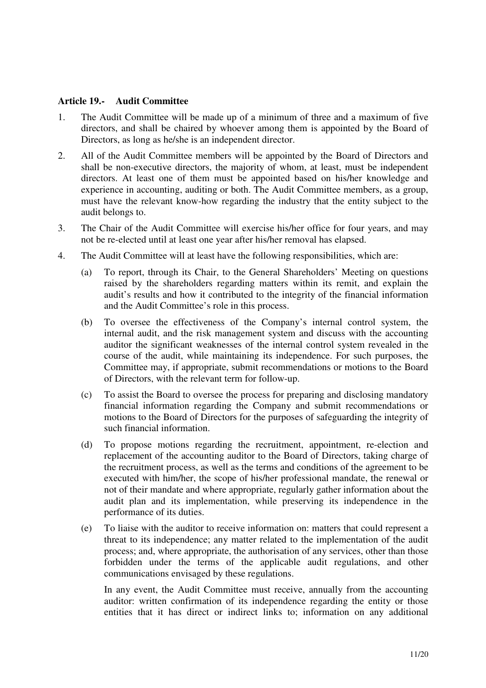#### **Article 19.- Audit Committee**

- 1. The Audit Committee will be made up of a minimum of three and a maximum of five directors, and shall be chaired by whoever among them is appointed by the Board of Directors, as long as he/she is an independent director.
- 2. All of the Audit Committee members will be appointed by the Board of Directors and shall be non-executive directors, the majority of whom, at least, must be independent directors. At least one of them must be appointed based on his/her knowledge and experience in accounting, auditing or both. The Audit Committee members, as a group, must have the relevant know-how regarding the industry that the entity subject to the audit belongs to.
- 3. The Chair of the Audit Committee will exercise his/her office for four years, and may not be re-elected until at least one year after his/her removal has elapsed.
- 4. The Audit Committee will at least have the following responsibilities, which are:
	- (a) To report, through its Chair, to the General Shareholders' Meeting on questions raised by the shareholders regarding matters within its remit, and explain the audit's results and how it contributed to the integrity of the financial information and the Audit Committee's role in this process.
	- (b) To oversee the effectiveness of the Company's internal control system, the internal audit, and the risk management system and discuss with the accounting auditor the significant weaknesses of the internal control system revealed in the course of the audit, while maintaining its independence. For such purposes, the Committee may, if appropriate, submit recommendations or motions to the Board of Directors, with the relevant term for follow-up.
	- (c) To assist the Board to oversee the process for preparing and disclosing mandatory financial information regarding the Company and submit recommendations or motions to the Board of Directors for the purposes of safeguarding the integrity of such financial information.
	- (d) To propose motions regarding the recruitment, appointment, re-election and replacement of the accounting auditor to the Board of Directors, taking charge of the recruitment process, as well as the terms and conditions of the agreement to be executed with him/her, the scope of his/her professional mandate, the renewal or not of their mandate and where appropriate, regularly gather information about the audit plan and its implementation, while preserving its independence in the performance of its duties.
	- (e) To liaise with the auditor to receive information on: matters that could represent a threat to its independence; any matter related to the implementation of the audit process; and, where appropriate, the authorisation of any services, other than those forbidden under the terms of the applicable audit regulations, and other communications envisaged by these regulations.

In any event, the Audit Committee must receive, annually from the accounting auditor: written confirmation of its independence regarding the entity or those entities that it has direct or indirect links to; information on any additional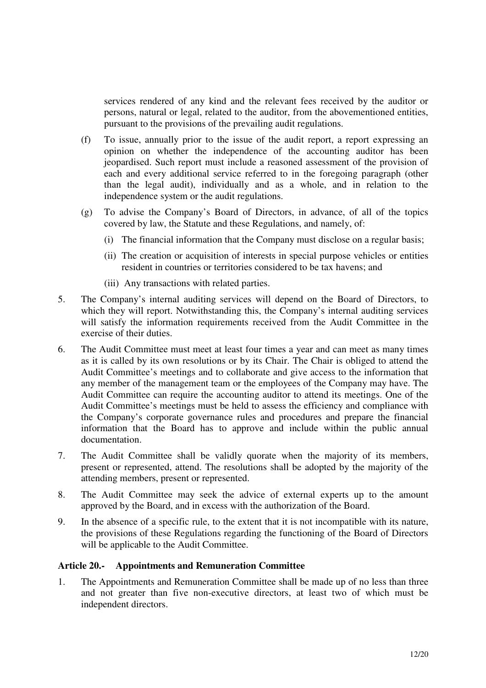services rendered of any kind and the relevant fees received by the auditor or persons, natural or legal, related to the auditor, from the abovementioned entities, pursuant to the provisions of the prevailing audit regulations.

- (f) To issue, annually prior to the issue of the audit report, a report expressing an opinion on whether the independence of the accounting auditor has been jeopardised. Such report must include a reasoned assessment of the provision of each and every additional service referred to in the foregoing paragraph (other than the legal audit), individually and as a whole, and in relation to the independence system or the audit regulations.
- (g) To advise the Company's Board of Directors, in advance, of all of the topics covered by law, the Statute and these Regulations, and namely, of:
	- (i) The financial information that the Company must disclose on a regular basis;
	- (ii) The creation or acquisition of interests in special purpose vehicles or entities resident in countries or territories considered to be tax havens; and
	- (iii) Any transactions with related parties.
- 5. The Company's internal auditing services will depend on the Board of Directors, to which they will report. Notwithstanding this, the Company's internal auditing services will satisfy the information requirements received from the Audit Committee in the exercise of their duties.
- 6. The Audit Committee must meet at least four times a year and can meet as many times as it is called by its own resolutions or by its Chair. The Chair is obliged to attend the Audit Committee's meetings and to collaborate and give access to the information that any member of the management team or the employees of the Company may have. The Audit Committee can require the accounting auditor to attend its meetings. One of the Audit Committee's meetings must be held to assess the efficiency and compliance with the Company's corporate governance rules and procedures and prepare the financial information that the Board has to approve and include within the public annual documentation.
- 7. The Audit Committee shall be validly quorate when the majority of its members, present or represented, attend. The resolutions shall be adopted by the majority of the attending members, present or represented.
- 8. The Audit Committee may seek the advice of external experts up to the amount approved by the Board, and in excess with the authorization of the Board.
- 9. In the absence of a specific rule, to the extent that it is not incompatible with its nature, the provisions of these Regulations regarding the functioning of the Board of Directors will be applicable to the Audit Committee.

# **Article 20.- Appointments and Remuneration Committee**

1. The Appointments and Remuneration Committee shall be made up of no less than three and not greater than five non-executive directors, at least two of which must be independent directors.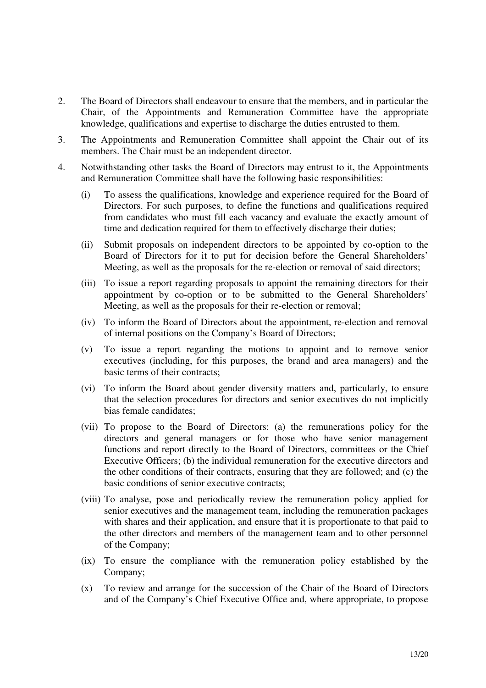- 2. The Board of Directors shall endeavour to ensure that the members, and in particular the Chair, of the Appointments and Remuneration Committee have the appropriate knowledge, qualifications and expertise to discharge the duties entrusted to them.
- 3. The Appointments and Remuneration Committee shall appoint the Chair out of its members. The Chair must be an independent director.
- 4. Notwithstanding other tasks the Board of Directors may entrust to it, the Appointments and Remuneration Committee shall have the following basic responsibilities:
	- (i) To assess the qualifications, knowledge and experience required for the Board of Directors. For such purposes, to define the functions and qualifications required from candidates who must fill each vacancy and evaluate the exactly amount of time and dedication required for them to effectively discharge their duties;
	- (ii) Submit proposals on independent directors to be appointed by co-option to the Board of Directors for it to put for decision before the General Shareholders' Meeting, as well as the proposals for the re-election or removal of said directors;
	- (iii) To issue a report regarding proposals to appoint the remaining directors for their appointment by co-option or to be submitted to the General Shareholders' Meeting, as well as the proposals for their re-election or removal;
	- (iv) To inform the Board of Directors about the appointment, re-election and removal of internal positions on the Company's Board of Directors;
	- (v) To issue a report regarding the motions to appoint and to remove senior executives (including, for this purposes, the brand and area managers) and the basic terms of their contracts;
	- (vi) To inform the Board about gender diversity matters and, particularly, to ensure that the selection procedures for directors and senior executives do not implicitly bias female candidates;
	- (vii) To propose to the Board of Directors: (a) the remunerations policy for the directors and general managers or for those who have senior management functions and report directly to the Board of Directors, committees or the Chief Executive Officers; (b) the individual remuneration for the executive directors and the other conditions of their contracts, ensuring that they are followed; and (c) the basic conditions of senior executive contracts;
	- (viii) To analyse, pose and periodically review the remuneration policy applied for senior executives and the management team, including the remuneration packages with shares and their application, and ensure that it is proportionate to that paid to the other directors and members of the management team and to other personnel of the Company;
	- (ix) To ensure the compliance with the remuneration policy established by the Company;
	- (x) To review and arrange for the succession of the Chair of the Board of Directors and of the Company's Chief Executive Office and, where appropriate, to propose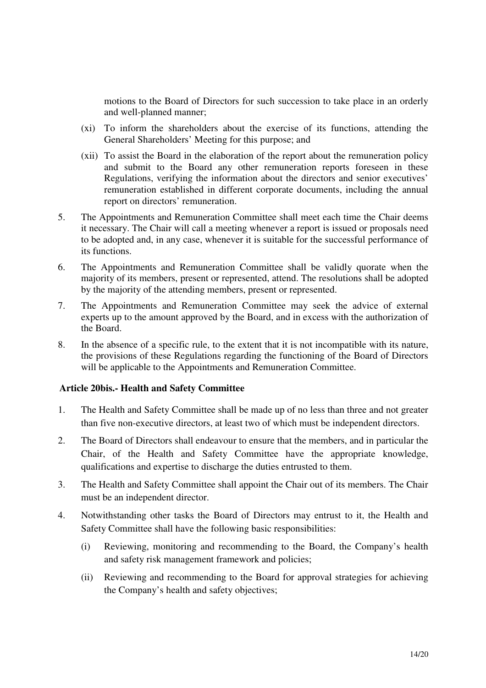motions to the Board of Directors for such succession to take place in an orderly and well-planned manner;

- (xi) To inform the shareholders about the exercise of its functions, attending the General Shareholders' Meeting for this purpose; and
- (xii) To assist the Board in the elaboration of the report about the remuneration policy and submit to the Board any other remuneration reports foreseen in these Regulations, verifying the information about the directors and senior executives' remuneration established in different corporate documents, including the annual report on directors' remuneration.
- 5. The Appointments and Remuneration Committee shall meet each time the Chair deems it necessary. The Chair will call a meeting whenever a report is issued or proposals need to be adopted and, in any case, whenever it is suitable for the successful performance of its functions.
- 6. The Appointments and Remuneration Committee shall be validly quorate when the majority of its members, present or represented, attend. The resolutions shall be adopted by the majority of the attending members, present or represented.
- 7. The Appointments and Remuneration Committee may seek the advice of external experts up to the amount approved by the Board, and in excess with the authorization of the Board.
- 8. In the absence of a specific rule, to the extent that it is not incompatible with its nature, the provisions of these Regulations regarding the functioning of the Board of Directors will be applicable to the Appointments and Remuneration Committee.

#### **Article 20bis.- Health and Safety Committee**

- 1. The Health and Safety Committee shall be made up of no less than three and not greater than five non-executive directors, at least two of which must be independent directors.
- 2. The Board of Directors shall endeavour to ensure that the members, and in particular the Chair, of the Health and Safety Committee have the appropriate knowledge, qualifications and expertise to discharge the duties entrusted to them.
- 3. The Health and Safety Committee shall appoint the Chair out of its members. The Chair must be an independent director.
- 4. Notwithstanding other tasks the Board of Directors may entrust to it, the Health and Safety Committee shall have the following basic responsibilities:
	- (i) Reviewing, monitoring and recommending to the Board, the Company's health and safety risk management framework and policies;
	- (ii) Reviewing and recommending to the Board for approval strategies for achieving the Company's health and safety objectives;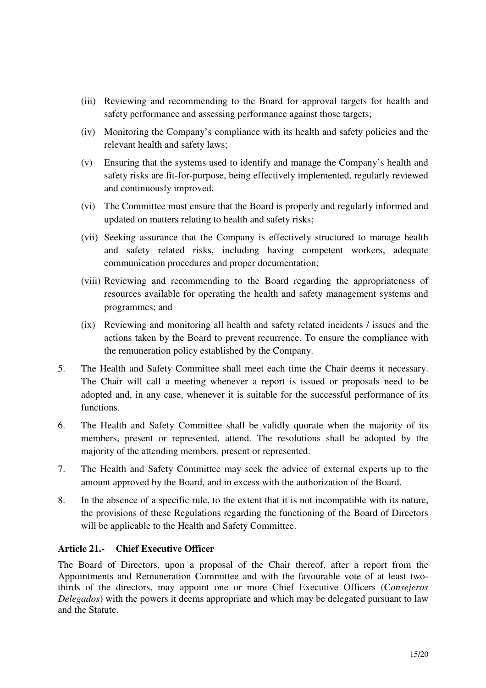- (iii) Reviewing and recommending to the Board for approval targets for health and safety performance and assessing performance against those targets;
- (iv) Monitoring the Company's compliance with its health and safety policies and the relevant health and safety laws;
- (v) Ensuring that the systems used to identify and manage the Company's health and safety risks are fit-for-purpose, being effectively implemented, regularly reviewed and continuously improved.
- (vi) The Committee must ensure that the Board is properly and regularly informed and updated on matters relating to health and safety risks;
- (vii) Seeking assurance that the Company is effectively structured to manage health and safety related risks, including having competent workers, adequate communication procedures and proper documentation;
- (viii) Reviewing and recommending to the Board regarding the appropriateness of resources available for operating the health and safety management systems and programmes; and
- (ix) Reviewing and monitoring all health and safety related incidents / issues and the actions taken by the Board to prevent recurrence. To ensure the compliance with the remuneration policy established by the Company.
- 5. The Health and Safety Committee shall meet each time the Chair deems it necessary. The Chair will call a meeting whenever a report is issued or proposals need to be adopted and, in any case, whenever it is suitable for the successful performance of its functions.
- 6. The Health and Safety Committee shall be validly quorate when the majority of its members, present or represented, attend. The resolutions shall be adopted by the majority of the attending members, present or represented.
- 7. The Health and Safety Committee may seek the advice of external experts up to the amount approved by the Board, and in excess with the authorization of the Board.
- 8. In the absence of a specific rule, to the extent that it is not incompatible with its nature, the provisions of these Regulations regarding the functioning of the Board of Directors will be applicable to the Health and Safety Committee.

# **Article 21.- Chief Executive Officer**

The Board of Directors, upon a proposal of the Chair thereof, after a report from the Appointments and Remuneration Committee and with the favourable vote of at least twothirds of the directors, may appoint one or more Chief Executive Officers (C*onsejeros Delegados*) with the powers it deems appropriate and which may be delegated pursuant to law and the Statute.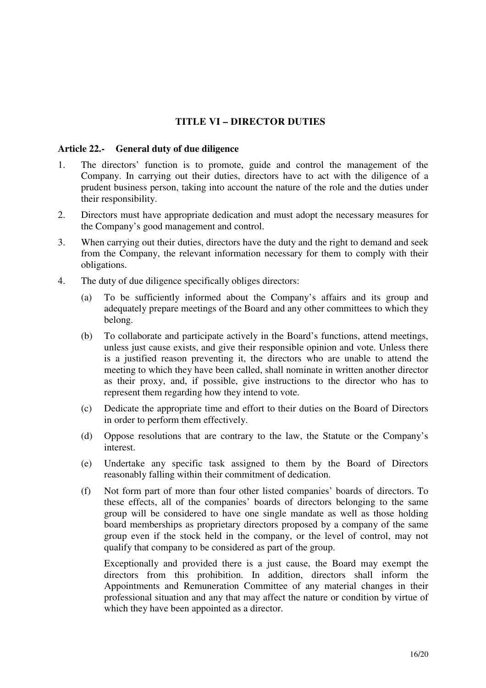# **TITLE VI – DIRECTOR DUTIES**

#### **Article 22.- General duty of due diligence**

- 1. The directors' function is to promote, guide and control the management of the Company. In carrying out their duties, directors have to act with the diligence of a prudent business person, taking into account the nature of the role and the duties under their responsibility.
- 2. Directors must have appropriate dedication and must adopt the necessary measures for the Company's good management and control.
- 3. When carrying out their duties, directors have the duty and the right to demand and seek from the Company, the relevant information necessary for them to comply with their obligations.
- 4. The duty of due diligence specifically obliges directors:
	- (a) To be sufficiently informed about the Company's affairs and its group and adequately prepare meetings of the Board and any other committees to which they belong.
	- (b) To collaborate and participate actively in the Board's functions, attend meetings, unless just cause exists, and give their responsible opinion and vote. Unless there is a justified reason preventing it, the directors who are unable to attend the meeting to which they have been called, shall nominate in written another director as their proxy, and, if possible, give instructions to the director who has to represent them regarding how they intend to vote.
	- (c) Dedicate the appropriate time and effort to their duties on the Board of Directors in order to perform them effectively.
	- (d) Oppose resolutions that are contrary to the law, the Statute or the Company's interest.
	- (e) Undertake any specific task assigned to them by the Board of Directors reasonably falling within their commitment of dedication.
	- (f) Not form part of more than four other listed companies' boards of directors. To these effects, all of the companies' boards of directors belonging to the same group will be considered to have one single mandate as well as those holding board memberships as proprietary directors proposed by a company of the same group even if the stock held in the company, or the level of control, may not qualify that company to be considered as part of the group.

Exceptionally and provided there is a just cause, the Board may exempt the directors from this prohibition. In addition, directors shall inform the Appointments and Remuneration Committee of any material changes in their professional situation and any that may affect the nature or condition by virtue of which they have been appointed as a director.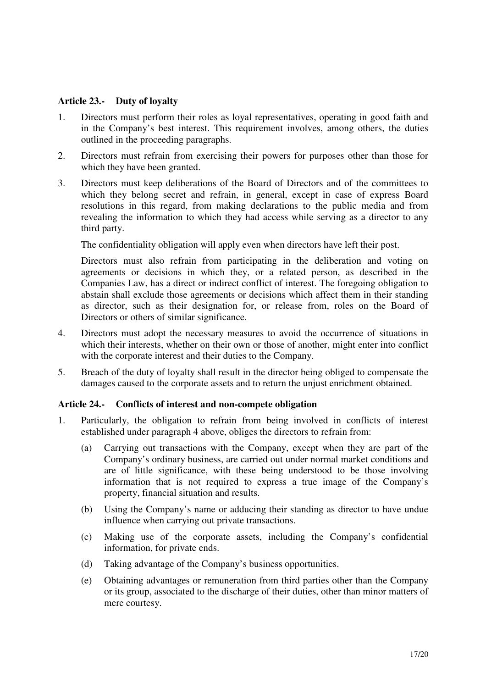#### **Article 23.- Duty of loyalty**

- 1. Directors must perform their roles as loyal representatives, operating in good faith and in the Company's best interest. This requirement involves, among others, the duties outlined in the proceeding paragraphs.
- 2. Directors must refrain from exercising their powers for purposes other than those for which they have been granted.
- 3. Directors must keep deliberations of the Board of Directors and of the committees to which they belong secret and refrain, in general, except in case of express Board resolutions in this regard, from making declarations to the public media and from revealing the information to which they had access while serving as a director to any third party.

The confidentiality obligation will apply even when directors have left their post.

Directors must also refrain from participating in the deliberation and voting on agreements or decisions in which they, or a related person, as described in the Companies Law, has a direct or indirect conflict of interest. The foregoing obligation to abstain shall exclude those agreements or decisions which affect them in their standing as director, such as their designation for, or release from, roles on the Board of Directors or others of similar significance.

- 4. Directors must adopt the necessary measures to avoid the occurrence of situations in which their interests, whether on their own or those of another, might enter into conflict with the corporate interest and their duties to the Company.
- 5. Breach of the duty of loyalty shall result in the director being obliged to compensate the damages caused to the corporate assets and to return the unjust enrichment obtained.

#### **Article 24.- Conflicts of interest and non-compete obligation**

- 1. Particularly, the obligation to refrain from being involved in conflicts of interest established under paragraph 4 above, obliges the directors to refrain from:
	- (a) Carrying out transactions with the Company, except when they are part of the Company's ordinary business, are carried out under normal market conditions and are of little significance, with these being understood to be those involving information that is not required to express a true image of the Company's property, financial situation and results.
	- (b) Using the Company's name or adducing their standing as director to have undue influence when carrying out private transactions.
	- (c) Making use of the corporate assets, including the Company's confidential information, for private ends.
	- (d) Taking advantage of the Company's business opportunities.
	- (e) Obtaining advantages or remuneration from third parties other than the Company or its group, associated to the discharge of their duties, other than minor matters of mere courtesy.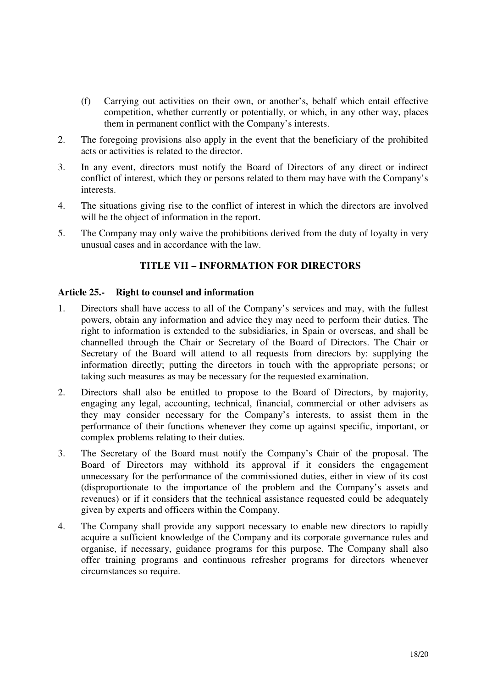- (f) Carrying out activities on their own, or another's, behalf which entail effective competition, whether currently or potentially, or which, in any other way, places them in permanent conflict with the Company's interests.
- 2. The foregoing provisions also apply in the event that the beneficiary of the prohibited acts or activities is related to the director.
- 3. In any event, directors must notify the Board of Directors of any direct or indirect conflict of interest, which they or persons related to them may have with the Company's interests.
- 4. The situations giving rise to the conflict of interest in which the directors are involved will be the object of information in the report.
- 5. The Company may only waive the prohibitions derived from the duty of loyalty in very unusual cases and in accordance with the law.

#### **TITLE VII – INFORMATION FOR DIRECTORS**

#### **Article 25.- Right to counsel and information**

- 1. Directors shall have access to all of the Company's services and may, with the fullest powers, obtain any information and advice they may need to perform their duties. The right to information is extended to the subsidiaries, in Spain or overseas, and shall be channelled through the Chair or Secretary of the Board of Directors. The Chair or Secretary of the Board will attend to all requests from directors by: supplying the information directly; putting the directors in touch with the appropriate persons; or taking such measures as may be necessary for the requested examination.
- 2. Directors shall also be entitled to propose to the Board of Directors, by majority, engaging any legal, accounting, technical, financial, commercial or other advisers as they may consider necessary for the Company's interests, to assist them in the performance of their functions whenever they come up against specific, important, or complex problems relating to their duties.
- 3. The Secretary of the Board must notify the Company's Chair of the proposal. The Board of Directors may withhold its approval if it considers the engagement unnecessary for the performance of the commissioned duties, either in view of its cost (disproportionate to the importance of the problem and the Company's assets and revenues) or if it considers that the technical assistance requested could be adequately given by experts and officers within the Company.
- 4. The Company shall provide any support necessary to enable new directors to rapidly acquire a sufficient knowledge of the Company and its corporate governance rules and organise, if necessary, guidance programs for this purpose. The Company shall also offer training programs and continuous refresher programs for directors whenever circumstances so require.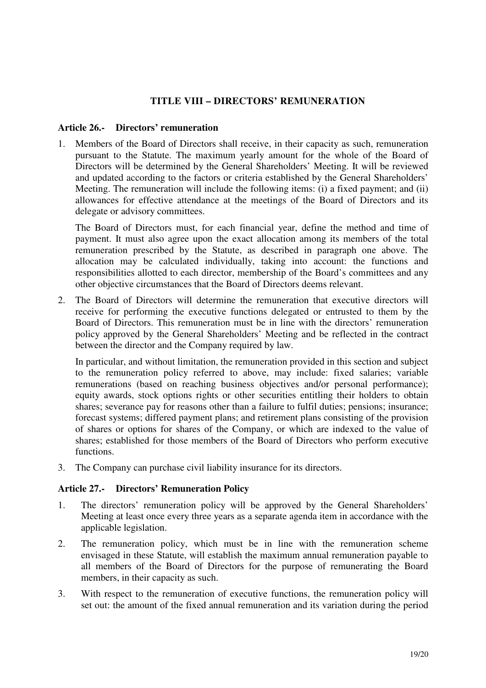#### **TITLE VIII – DIRECTORS' REMUNERATION**

#### **Article 26.- Directors' remuneration**

1. Members of the Board of Directors shall receive, in their capacity as such, remuneration pursuant to the Statute. The maximum yearly amount for the whole of the Board of Directors will be determined by the General Shareholders' Meeting. It will be reviewed and updated according to the factors or criteria established by the General Shareholders' Meeting. The remuneration will include the following items: (i) a fixed payment; and (ii) allowances for effective attendance at the meetings of the Board of Directors and its delegate or advisory committees.

The Board of Directors must, for each financial year, define the method and time of payment. It must also agree upon the exact allocation among its members of the total remuneration prescribed by the Statute, as described in paragraph one above. The allocation may be calculated individually, taking into account: the functions and responsibilities allotted to each director, membership of the Board's committees and any other objective circumstances that the Board of Directors deems relevant.

2. The Board of Directors will determine the remuneration that executive directors will receive for performing the executive functions delegated or entrusted to them by the Board of Directors. This remuneration must be in line with the directors' remuneration policy approved by the General Shareholders' Meeting and be reflected in the contract between the director and the Company required by law.

In particular, and without limitation, the remuneration provided in this section and subject to the remuneration policy referred to above, may include: fixed salaries; variable remunerations (based on reaching business objectives and/or personal performance); equity awards, stock options rights or other securities entitling their holders to obtain shares; severance pay for reasons other than a failure to fulfil duties; pensions; insurance; forecast systems; differed payment plans; and retirement plans consisting of the provision of shares or options for shares of the Company, or which are indexed to the value of shares; established for those members of the Board of Directors who perform executive functions.

3. The Company can purchase civil liability insurance for its directors.

#### **Article 27.- Directors' Remuneration Policy**

- 1. The directors' remuneration policy will be approved by the General Shareholders' Meeting at least once every three years as a separate agenda item in accordance with the applicable legislation.
- 2. The remuneration policy, which must be in line with the remuneration scheme envisaged in these Statute, will establish the maximum annual remuneration payable to all members of the Board of Directors for the purpose of remunerating the Board members, in their capacity as such.
- 3. With respect to the remuneration of executive functions, the remuneration policy will set out: the amount of the fixed annual remuneration and its variation during the period